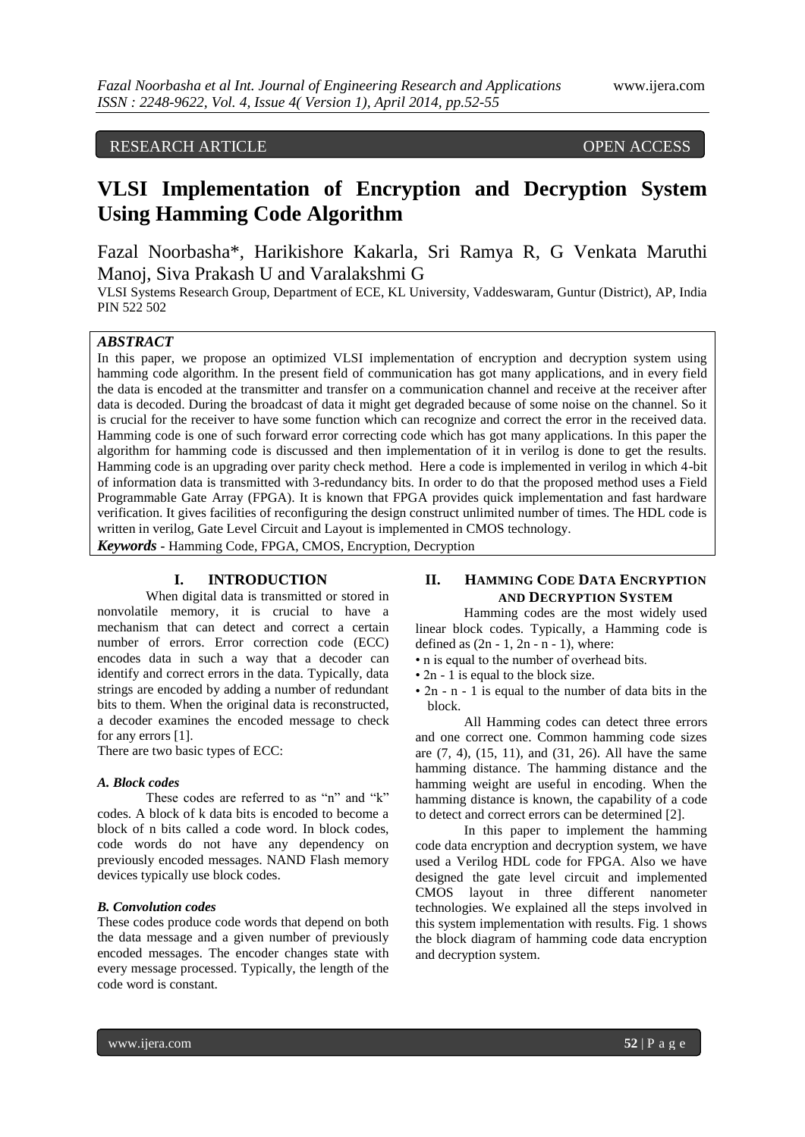# RESEARCH ARTICLE OPEN ACCESS

# **VLSI Implementation of Encryption and Decryption System Using Hamming Code Algorithm**

Fazal Noorbasha\*, Harikishore Kakarla, Sri Ramya R, G Venkata Maruthi Manoj, Siva Prakash U and Varalakshmi G

VLSI Systems Research Group, Department of ECE, KL University, Vaddeswaram, Guntur (District), AP, India PIN 522 502

## *ABSTRACT*

In this paper, we propose an optimized VLSI implementation of encryption and decryption system using hamming code algorithm. In the present field of communication has got many applications, and in every field the data is encoded at the transmitter and transfer on a communication channel and receive at the receiver after data is decoded. During the broadcast of data it might get degraded because of some noise on the channel. So it is crucial for the receiver to have some function which can recognize and correct the error in the received data. Hamming code is one of such forward error correcting code which has got many applications. In this paper the algorithm for hamming code is discussed and then implementation of it in verilog is done to get the results. Hamming code is an upgrading over parity check method. Here a code is implemented in verilog in which 4-bit of information data is transmitted with 3-redundancy bits. In order to do that the proposed method uses a Field Programmable Gate Array (FPGA). It is known that FPGA provides quick implementation and fast hardware verification. It gives facilities of reconfiguring the design construct unlimited number of times. The HDL code is written in verilog, Gate Level Circuit and Layout is implemented in CMOS technology.

*Keywords* **-** Hamming Code, FPGA, CMOS, Encryption, Decryption

#### **I. INTRODUCTION**

When digital data is transmitted or stored in nonvolatile memory, it is crucial to have a mechanism that can detect and correct a certain number of errors. Error correction code (ECC) encodes data in such a way that a decoder can identify and correct errors in the data. Typically, data strings are encoded by adding a number of redundant bits to them. When the original data is reconstructed, a decoder examines the encoded message to check for any errors [1].

There are two basic types of ECC:

#### *A. Block codes*

These codes are referred to as "n" and "k" codes. A block of k data bits is encoded to become a block of n bits called a code word. In block codes, code words do not have any dependency on previously encoded messages. NAND Flash memory devices typically use block codes.

#### *B. Convolution codes*

These codes produce code words that depend on both the data message and a given number of previously encoded messages. The encoder changes state with every message processed. Typically, the length of the code word is constant.

## **II. HAMMING CODE DATA ENCRYPTION AND DECRYPTION SYSTEM**

Hamming codes are the most widely used linear block codes. Typically, a Hamming code is defined as  $(2n - 1, 2n - n - 1)$ , where:

- n is equal to the number of overhead bits.
- 2n 1 is equal to the block size.
- 2n n 1 is equal to the number of data bits in the block.

All Hamming codes can detect three errors and one correct one. Common hamming code sizes are (7, 4), (15, 11), and (31, 26). All have the same hamming distance. The hamming distance and the hamming weight are useful in encoding. When the hamming distance is known, the capability of a code to detect and correct errors can be determined [2].

In this paper to implement the hamming code data encryption and decryption system, we have used a Verilog HDL code for FPGA. Also we have designed the gate level circuit and implemented CMOS layout in three different nanometer technologies. We explained all the steps involved in this system implementation with results. Fig. 1 shows the block diagram of hamming code data encryption and decryption system.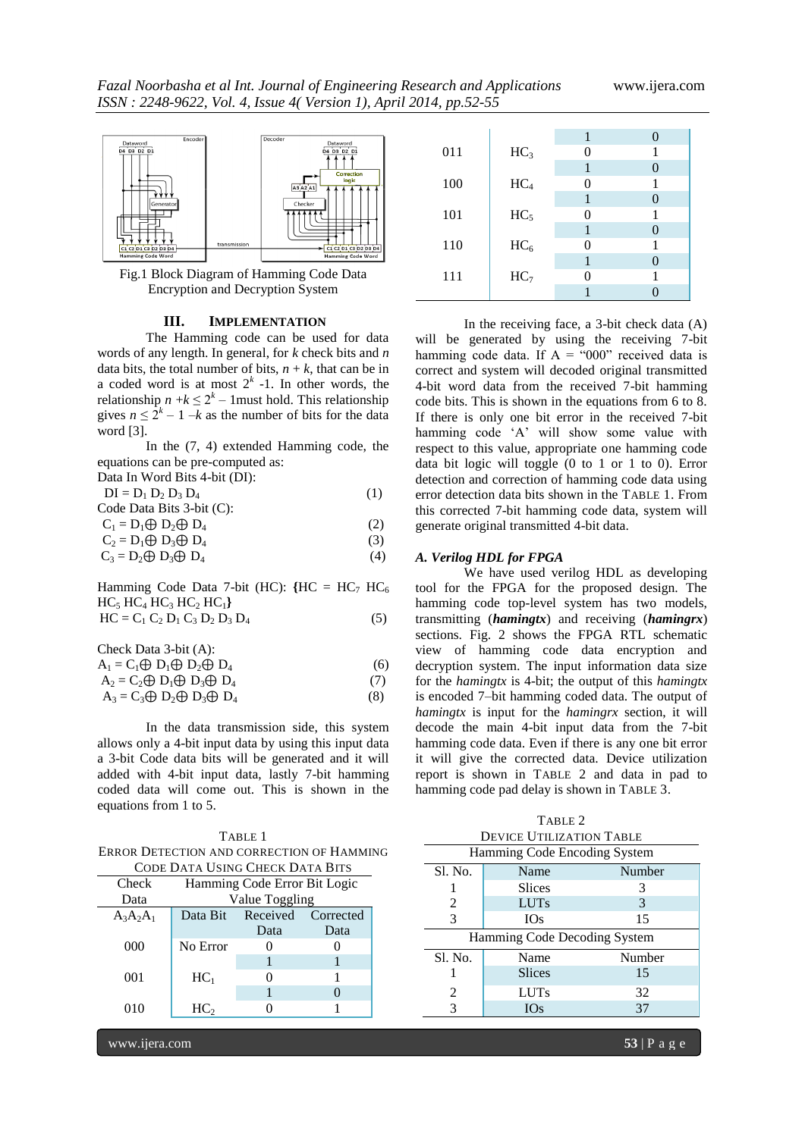

Fig.1 Block Diagram of Hamming Code Data Encryption and Decryption System

#### **III. IMPLEMENTATION**

The Hamming code can be used for data words of any length. In general, for *k* check bits and *n*  data bits, the total number of bits,  $n + k$ , that can be in a coded word is at most  $2<sup>k</sup>$  -1. In other words, the relationship  $n + k \leq 2^k - 1$  must hold. This relationship gives  $n \leq 2^k - 1 - k$  as the number of bits for the data word [3].

In the (7, 4) extended Hamming code, the equations can be pre-computed as:

| Data In Word Bits 4-bit (DI):     |     |
|-----------------------------------|-----|
| $DI = D_1 D_2 D_3 D_4$            | (1) |
| Code Data Bits $3$ -bit $(C)$ :   |     |
| $C_1 = D_1 \oplus D_2 \oplus D_4$ | (2) |
| $C_2 = D_1 \oplus D_3 \oplus D_4$ | (3) |
| $C_3 = D_2 \oplus D_3 \oplus D_4$ | (4) |
|                                   |     |

Hamming Code Data 7-bit (HC):  ${H}C = HC_7 HC_6$  $HC_5$   $HC_4$   $HC_3$   $HC_2$   $HC_1$ }  $HC = C_1 C_2 D_1 C_3 D_2 D_3 D_4$  (5)

| Check Data $3$ -bit $(A)$ :                  |     |
|----------------------------------------------|-----|
| $A_1 = C_1 \oplus D_1 \oplus D_2 \oplus D_4$ | (6) |
| $A_2 = C_2 \oplus D_1 \oplus D_3 \oplus D_4$ |     |

$$
A_3 = C_3 \oplus D_2 \oplus D_3 \oplus D_4 \tag{8}
$$

In the data transmission side, this system allows only a 4-bit input data by using this input data a 3-bit Code data bits will be generated and it will added with 4-bit input data, lastly 7-bit hamming coded data will come out. This is shown in the equations from 1 to 5.

TABLE 1 ERROR DETECTION AND CORRECTION OF HAMMING CODE DATA USING CHECK DATA BITS

| Check       | Hamming Code Error Bit Logic   |      |      |
|-------------|--------------------------------|------|------|
| Data        | Value Toggling                 |      |      |
| $A_3A_2A_1$ | Received Corrected<br>Data Bit |      |      |
|             |                                | Data | Data |
| 000         | No Error                       |      |      |
|             |                                |      |      |
| 001         | HC <sub>1</sub>                |      |      |
|             |                                |      |      |
| 010         | HC <sub>2</sub>                |      |      |
|             |                                |      |      |

1 0 011 |  $HC_3$  0 1 1 0 100  $\begin{array}{|c|c|c|c|c|}\n\hline\n&\text{HC}_4 & \text{O} & \text{1} \\
\hline\n&\text{1} & \text{0}\n\end{array}$ 1 0 101 |  $HC_5$  0 1 1 0 110  $\text{HC}_6$  0 1 1 0 111 |  $HC_7$  0 1 1 0

In the receiving face, a 3-bit check data (A) will be generated by using the receiving 7-bit hamming code data. If  $A = "000"$  received data is correct and system will decoded original transmitted 4-bit word data from the received 7-bit hamming code bits. This is shown in the equations from 6 to 8. If there is only one bit error in the received 7-bit hamming code 'A' will show some value with respect to this value, appropriate one hamming code data bit logic will toggle (0 to 1 or 1 to 0). Error detection and correction of hamming code data using error detection data bits shown in the TABLE 1. From this corrected 7-bit hamming code data, system will generate original transmitted 4-bit data.

## *A. Verilog HDL for FPGA*

We have used verilog HDL as developing tool for the FPGA for the proposed design. The hamming code top-level system has two models, transmitting (*hamingtx*) and receiving (*hamingrx*) sections. Fig. 2 shows the FPGA RTL schematic view of hamming code data encryption and decryption system. The input information data size for the *hamingtx* is 4-bit; the output of this *hamingtx*  is encoded 7–bit hamming coded data. The output of *hamingtx* is input for the *hamingrx* section, it will decode the main 4-bit input data from the 7-bit hamming code data. Even if there is any one bit error it will give the corrected data. Device utilization report is shown in TABLE 2 and data in pad to hamming code pad delay is shown in TABLE 3.

| TABLE 2                         |                              |        |  |
|---------------------------------|------------------------------|--------|--|
| <b>DEVICE UTILIZATION TABLE</b> |                              |        |  |
|                                 | Hamming Code Encoding System |        |  |
| Sl. No.                         | Name                         | Number |  |
|                                 | <b>Slices</b>                | 3      |  |
| 2                               | <b>LUTs</b>                  | 3      |  |
| 3                               | <b>IOs</b>                   | 15     |  |
| Hamming Code Decoding System    |                              |        |  |
| Sl. No.                         | Name                         | Number |  |
|                                 | <b>Slices</b>                | 15     |  |
| 2                               | <b>LUTs</b>                  | 32     |  |
| 3                               | <b>IOs</b>                   | 37     |  |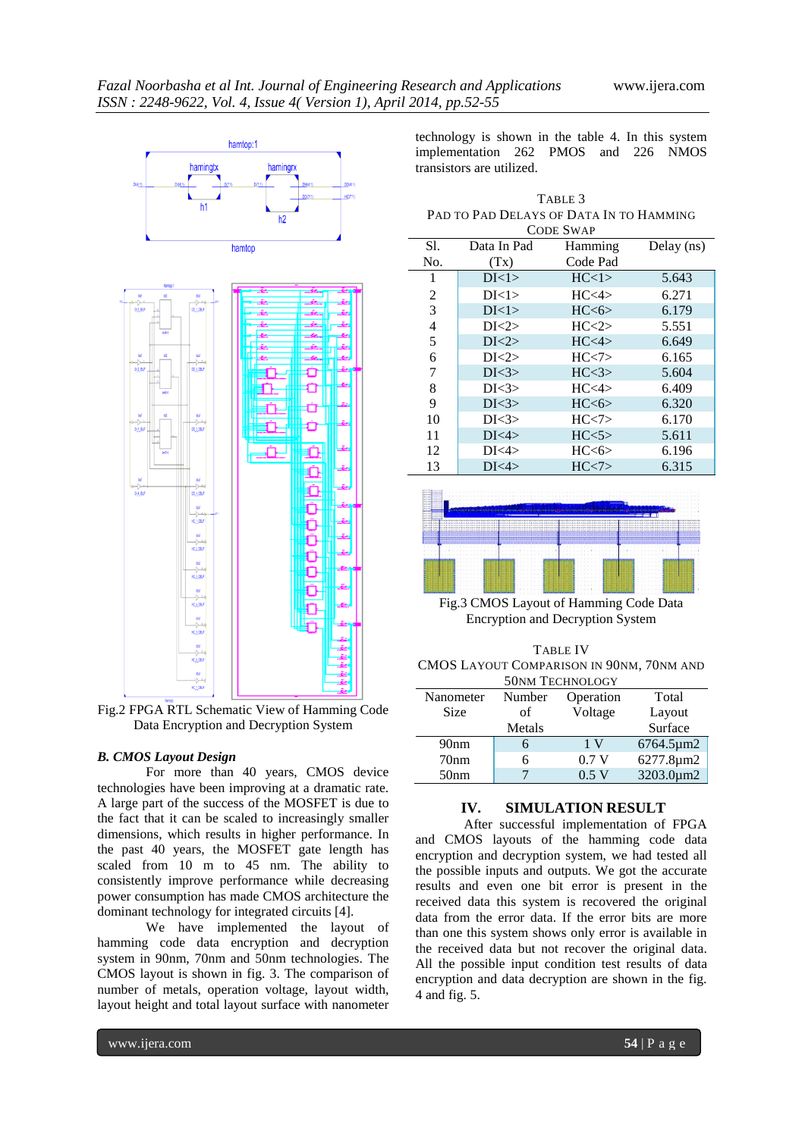

Fig.2 FPGA RTL Schematic View of Hamming Code Data Encryption and Decryption System

#### *B. CMOS Layout Design*

For more than 40 years, CMOS device technologies have been improving at a dramatic rate. A large part of the success of the MOSFET is due to the fact that it can be scaled to increasingly smaller dimensions, which results in higher performance. In the past 40 years, the MOSFET gate length has scaled from 10 m to 45 nm. The ability to consistently improve performance while decreasing power consumption has made CMOS architecture the dominant technology for integrated circuits [4].

We have implemented the layout of hamming code data encryption and decryption system in 90nm, 70nm and 50nm technologies. The CMOS layout is shown in fig. 3. The comparison of number of metals, operation voltage, layout width, layout height and total layout surface with nanometer

technology is shown in the table 4. In this system implementation 262 PMOS and 226 NMOS transistors are utilized.

| TABLE 3                                  |
|------------------------------------------|
| Pad to Pad Delays of Data In to Hamming. |
| <b>CODE SWAP</b>                         |

| S1. | Data In Pad | Hamming             | Delay (ns) |
|-----|-------------|---------------------|------------|
| No. | (Tx)        | Code Pad            |            |
| 1   | DI<1>       | HC<1>               | 5.643      |
| 2   | DI<1>       | HC<4>               | 6.271      |
| 3   | DI<1>       | HC<6>               | 6.179      |
| 4   | DI < 2>     | HC < 2>             | 5.551      |
| 5   | DI < 2>     | HC<4>               | 6.649      |
| 6   | DI < 2>     | HC < 7              | 6.165      |
| 7   | DI < 3>     | HC<3>               | 5.604      |
| 8   | DI < 3      | HC <sub>4&gt;</sub> | 6.409      |
| 9   | DI < 3>     | HC<6>               | 6.320      |
| 10  | DI < 3      | HC < 7              | 6.170      |
| 11  | DI<4>       | HC<5>               | 5.611      |
| 12  | DI<4>       | HC<6>               | 6.196      |
| 13  | DI<4>       | HC < 7              | 6.315      |



Fig.3 CMOS Layout of Hamming Code Data Encryption and Decryption System

| TABLE IV                                 |
|------------------------------------------|
| CMOS LAYOUT COMPARISON IN 90NM, 70NM AND |
| 50 <sub>NM</sub> TECHNOLOGY              |

| Nanometer        | Number | Operation | Total     |
|------------------|--------|-----------|-----------|
| Size             | оf     | Voltage   | Layout    |
|                  | Metals |           | Surface   |
| 90 <sub>nm</sub> | 6      | 1 V       | 6764.5µm2 |
| 70 <sub>nm</sub> | 6      | 0.7V      | 6277.8µm2 |
| 50 <sub>nm</sub> |        | 0.5 V     | 3203.0µm2 |

# **IV. SIMULATION RESULT**

After successful implementation of FPGA and CMOS layouts of the hamming code data encryption and decryption system, we had tested all the possible inputs and outputs. We got the accurate results and even one bit error is present in the received data this system is recovered the original data from the error data. If the error bits are more than one this system shows only error is available in the received data but not recover the original data. All the possible input condition test results of data encryption and data decryption are shown in the fig. 4 and fig. 5.